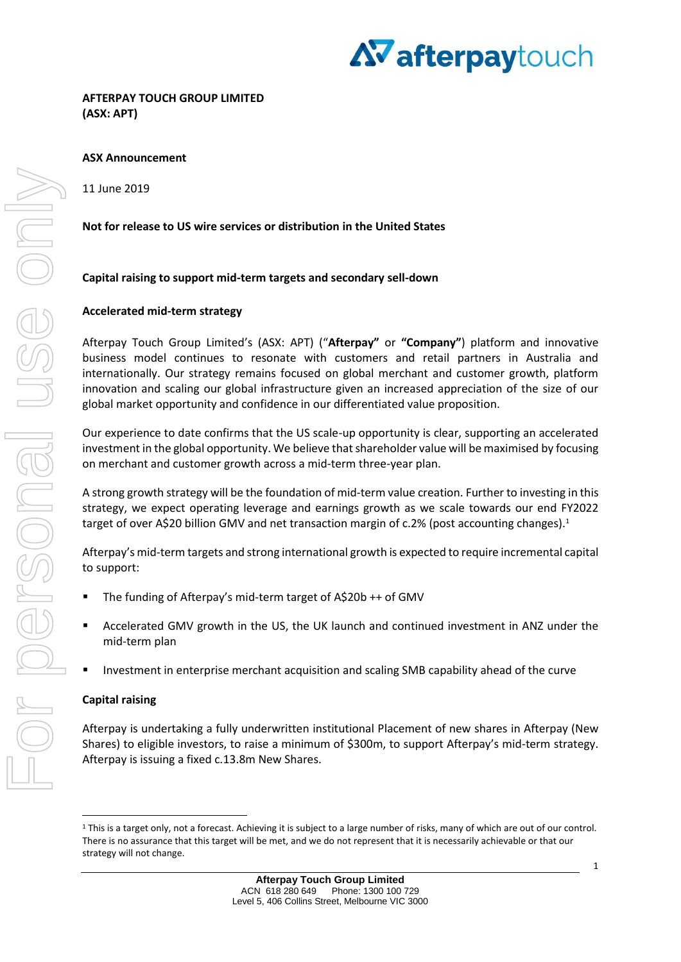

**AFTERPAY TOUCH GROUP LIMITED (ASX: APT)** 

## **ASX Announcement**

11 June 2019

## **Not for release to US wire services or distribution in the United States**

## **Capital raising to support mid-term targets and secondary sell-down**

#### **Accelerated mid-term strategy**

Afterpay Touch Group Limited's (ASX: APT) ("**Afterpay"** or **"Company"**) platform and innovative business model continues to resonate with customers and retail partners in Australia and internationally. Our strategy remains focused on global merchant and customer growth, platform innovation and scaling our global infrastructure given an increased appreciation of the size of our global market opportunity and confidence in our differentiated value proposition.

Our experience to date confirms that the US scale-up opportunity is clear, supporting an accelerated investment in the global opportunity. We believe that shareholder value will be maximised by focusing on merchant and customer growth across a mid-term three-year plan.

A strong growth strategy will be the foundation of mid-term value creation. Further to investing in this strategy, we expect operating leverage and earnings growth as we scale towards our end FY2022 target of over A\$20 billion GMV and net transaction margin of c.2% (post accounting changes).<sup>1</sup>

Afterpay's mid-term targets and strong international growth is expected to require incremental capital to support:

- The funding of Afterpay's mid-term target of A\$20b ++ of GMV
- Accelerated GMV growth in the US, the UK launch and continued investment in ANZ under the mid-term plan
- Investment in enterprise merchant acquisition and scaling SMB capability ahead of the curve

#### **Capital raising**

1

Afterpay is undertaking a fully underwritten institutional Placement of new shares in Afterpay (New Shares) to eligible investors, to raise a minimum of \$300m, to support Afterpay's mid-term strategy. Afterpay is issuing a fixed c.13.8m New Shares.

<sup>&</sup>lt;sup>1</sup> This is a target only, not a forecast. Achieving it is subject to a large number of risks, many of which are out of our control. There is no assurance that this target will be met, and we do not represent that it is necessarily achievable or that our strategy will not change.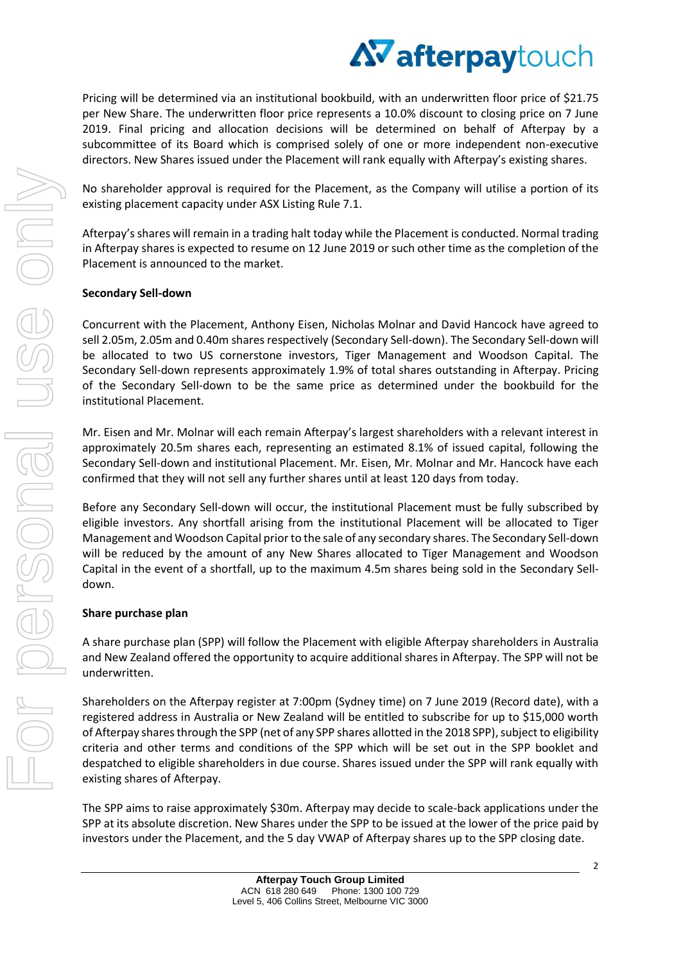Pricing will be determined via an institutional bookbuild, with an underwritten floor price of \$21.75 per New Share. The underwritten floor price represents a 10.0% discount to closing price on 7 June 2019. Final pricing and allocation decisions will be determined on behalf of Afterpay by a subcommittee of its Board which is comprised solely of one or more independent non-executive directors. New Shares issued under the Placement will rank equally with Afterpay's existing shares.

No shareholder approval is required for the Placement, as the Company will utilise a portion of its existing placement capacity under ASX Listing Rule 7.1.

Afterpay's shares will remain in a trading halt today while the Placement is conducted. Normal trading in Afterpay shares is expected to resume on 12 June 2019 or such other time as the completion of the Placement is announced to the market.

# **Secondary Sell-down**

Concurrent with the Placement, Anthony Eisen, Nicholas Molnar and David Hancock have agreed to sell 2.05m, 2.05m and 0.40m shares respectively (Secondary Sell-down). The Secondary Sell-down will be allocated to two US cornerstone investors, Tiger Management and Woodson Capital. The Secondary Sell-down represents approximately 1.9% of total shares outstanding in Afterpay. Pricing of the Secondary Sell-down to be the same price as determined under the bookbuild for the institutional Placement.

Mr. Eisen and Mr. Molnar will each remain Afterpay's largest shareholders with a relevant interest in approximately 20.5m shares each, representing an estimated 8.1% of issued capital, following the Secondary Sell-down and institutional Placement. Mr. Eisen, Mr. Molnar and Mr. Hancock have each confirmed that they will not sell any further shares until at least 120 days from today.

Before any Secondary Sell-down will occur, the institutional Placement must be fully subscribed by eligible investors. Any shortfall arising from the institutional Placement will be allocated to Tiger Management and Woodson Capital prior to the sale of any secondary shares. The Secondary Sell-down will be reduced by the amount of any New Shares allocated to Tiger Management and Woodson Capital in the event of a shortfall, up to the maximum 4.5m shares being sold in the Secondary Selldown.

# **Share purchase plan**

A share purchase plan (SPP) will follow the Placement with eligible Afterpay shareholders in Australia and New Zealand offered the opportunity to acquire additional shares in Afterpay. The SPP will not be underwritten.

Shareholders on the Afterpay register at 7:00pm (Sydney time) on 7 June 2019 (Record date), with a registered address in Australia or New Zealand will be entitled to subscribe for up to \$15,000 worth of Afterpay shares through the SPP (net of any SPP shares allotted in the 2018 SPP), subject to eligibility criteria and other terms and conditions of the SPP which will be set out in the SPP booklet and despatched to eligible shareholders in due course. Shares issued under the SPP will rank equally with existing shares of Afterpay.

The SPP aims to raise approximately \$30m. Afterpay may decide to scale-back applications under the SPP at its absolute discretion. New Shares under the SPP to be issued at the lower of the price paid by investors under the Placement, and the 5 day VWAP of Afterpay shares up to the SPP closing date.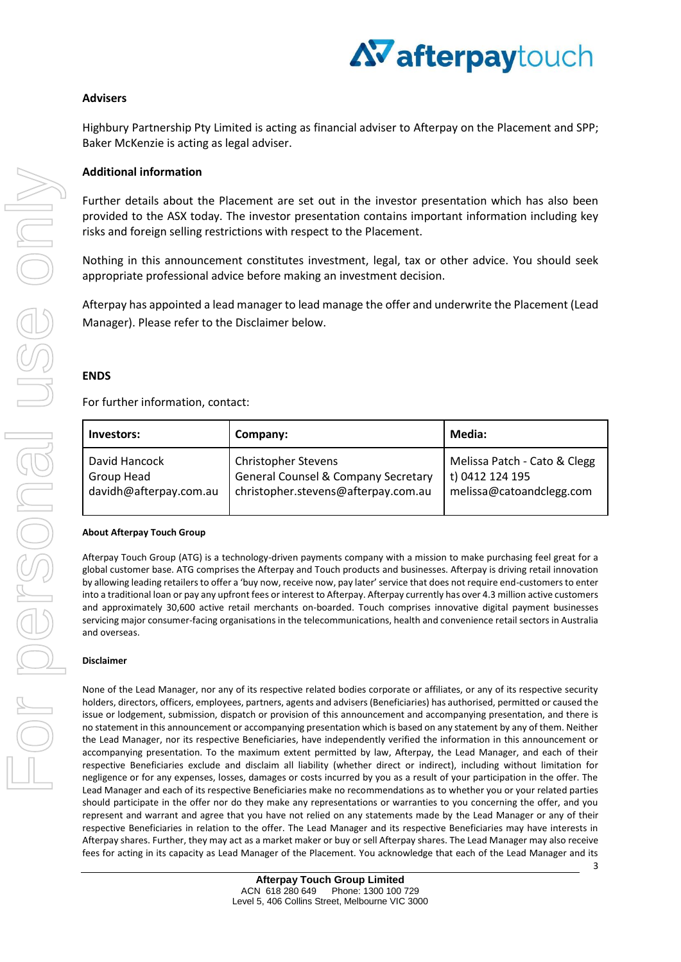

# **Advisers**

Highbury Partnership Pty Limited is acting as financial adviser to Afterpay on the Placement and SPP; Baker McKenzie is acting as legal adviser.

## **Additional information**

Further details about the Placement are set out in the investor presentation which has also been provided to the ASX today. The investor presentation contains important information including key risks and foreign selling restrictions with respect to the Placement.

Nothing in this announcement constitutes investment, legal, tax or other advice. You should seek appropriate professional advice before making an investment decision.

Afterpay has appointed a lead manager to lead manage the offer and underwrite the Placement (Lead Manager). Please refer to the Disclaimer below.

## **ENDS**

#### For further information, contact:

| Investors:             | Company:                                       | Media:                       |
|------------------------|------------------------------------------------|------------------------------|
| David Hancock          | <b>Christopher Stevens</b>                     | Melissa Patch - Cato & Clegg |
| Group Head             | <b>General Counsel &amp; Company Secretary</b> | t) 0412 124 195              |
| davidh@afterpay.com.au | christopher.stevens@afterpay.com.au            | melissa@catoandclegg.com     |

#### **About Afterpay Touch Group**

Afterpay Touch Group (ATG) is a technology-driven payments company with a mission to make purchasing feel great for a global customer base. ATG comprises the Afterpay and Touch products and businesses. Afterpay is driving retail innovation by allowing leading retailers to offer a 'buy now, receive now, pay later' service that does not require end-customers to enter into a traditional loan or pay any upfront fees or interest to Afterpay. Afterpay currently has over 4.3 million active customers and approximately 30,600 active retail merchants on-boarded. Touch comprises innovative digital payment businesses servicing major consumer-facing organisations in the telecommunications, health and convenience retail sectors in Australia and overseas.

#### **Disclaimer**

None of the Lead Manager, nor any of its respective related bodies corporate or affiliates, or any of its respective security holders, directors, officers, employees, partners, agents and advisers (Beneficiaries) has authorised, permitted or caused the issue or lodgement, submission, dispatch or provision of this announcement and accompanying presentation, and there is no statement in this announcement or accompanying presentation which is based on any statement by any of them. Neither the Lead Manager, nor its respective Beneficiaries, have independently verified the information in this announcement or accompanying presentation. To the maximum extent permitted by law, Afterpay, the Lead Manager, and each of their respective Beneficiaries exclude and disclaim all liability (whether direct or indirect), including without limitation for negligence or for any expenses, losses, damages or costs incurred by you as a result of your participation in the offer. The Lead Manager and each of its respective Beneficiaries make no recommendations as to whether you or your related parties should participate in the offer nor do they make any representations or warranties to you concerning the offer, and you represent and warrant and agree that you have not relied on any statements made by the Lead Manager or any of their respective Beneficiaries in relation to the offer. The Lead Manager and its respective Beneficiaries may have interests in Afterpay shares. Further, they may act as a market maker or buy or sell Afterpay shares. The Lead Manager may also receive fees for acting in its capacity as Lead Manager of the Placement. You acknowledge that each of the Lead Manager and its